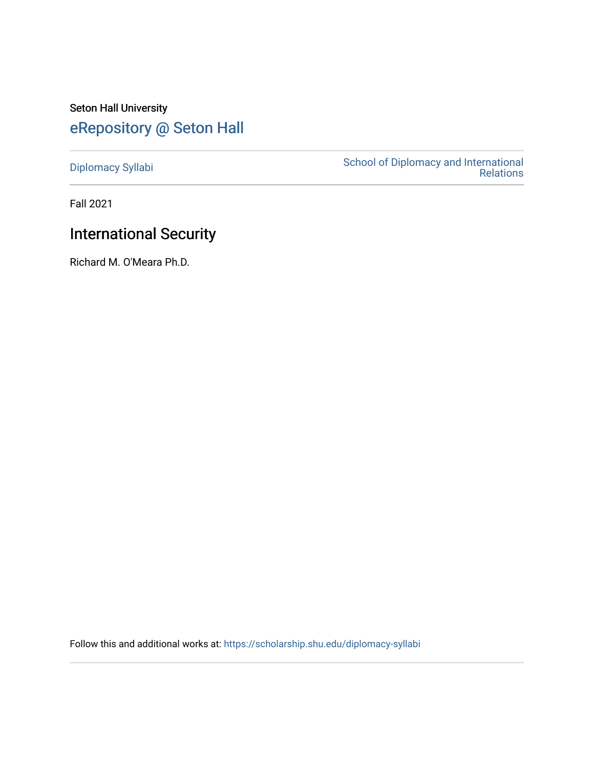## Seton Hall University [eRepository @ Seton Hall](https://scholarship.shu.edu/)

[Diplomacy Syllabi](https://scholarship.shu.edu/diplomacy-syllabi) [School of Diplomacy and International](https://scholarship.shu.edu/diplomacy)  [Relations](https://scholarship.shu.edu/diplomacy) 

Fall 2021

## International Security

Richard M. O'Meara Ph.D.

Follow this and additional works at: [https://scholarship.shu.edu/diplomacy-syllabi](https://scholarship.shu.edu/diplomacy-syllabi?utm_source=scholarship.shu.edu%2Fdiplomacy-syllabi%2F669&utm_medium=PDF&utm_campaign=PDFCoverPages)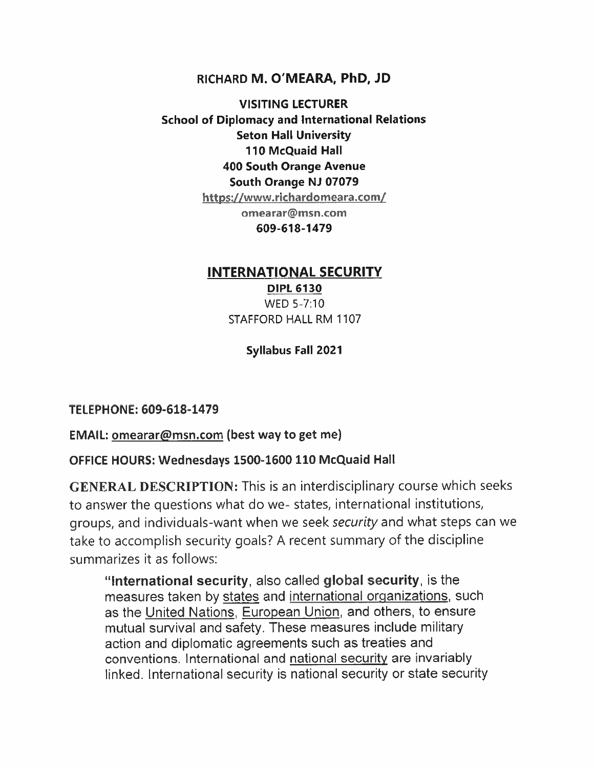#### **RICHARD M. O'MEARA, PhD, JD**

**VISITING LECTURER School of Diplomacy and International Relations Seton Hall University 110 McQuaid Hall 400 South Orange Avenue South Orange NJ 07079 https://www.richardomeara.com/ omearar@msn.com 609-618-1479**

#### **INTERNATIONAL SECURITY**

**DIPL 6130** WED 5-7:10 STAFFORD HALL RM 1107

**Syllabus Fall 2021**

**TELEPHONE: 609-618-1479**

**EMAIL: omearar@msn.com (best way to get me)**

#### **OFFICE HOURS: Wednesdays 1500-1600 110 McQuaid Hall**

GENERAL DESCRIPTION: This is an interdisciplinary course which seeks to answer the questions what do we- states, international institutions, groups, and individuals-want when we seek *security* and what steps can we take to accomplish security goals? <sup>A</sup> recent summary of the discipline summarizes it as follows:

**"International security,** also called **global security,** is the measures taken by states and international organizations, such as the United Nations, European Union, and others, to ensure mutual survival and safety. These measures include military action and diplomatic agreements such as treaties and conventions. International and national security are invariably linked. International security is national security or state security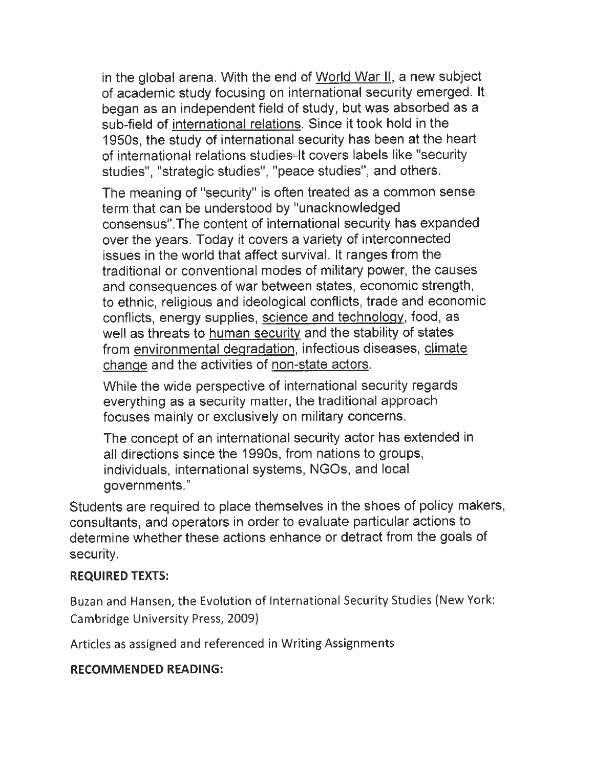in the global arena. With the end of World War II. <sup>a</sup> new subject of academic study focusing on international security emerged. It began as an independent field of study, but was absorbed as <sup>a</sup> sub-field of international relations. Since it took hold in the 1950s, the study of international security has been at the heart of international relations studies-It covers labels like "security studies", "strategic studies", "peace studies", and others.

The meaning of "security" is often treated as <sup>a</sup> common sense term that can be understood by "unacknowledged consensus".The content of international security has expanded over the years. Today it covers <sup>a</sup> variety of interconnected issues in the world that affect survival. It ranges from the traditional or conventional modes of military power, the causes and consequences of war between states, economic strength, to ethnic, religious and ideological conflicts, trade and economic conflicts, energy supplies, science and technology, food, as well as threats to human security and the stability of states from environmental degradation, infectious diseases, climate change and the activities of non-state actors.

While the wide perspective of international security regards everything as <sup>a</sup> security matter, the traditional approach focuses mainly or exclusively on military concerns.

The concept of an international security actor has extended in all directions since the 1990s, from nations to groups, individuals, international systems, NGOs, and local governments."

Students are required to place themselves in the shoes of policy makers, consultants, and operators in order to evaluate particular actions to determine whether these actions enhance or detract from the goals of security.

#### **REQUIRED TEXTS:**

Buzan and Hansen, the Evolution of International Security Studies (New York: Cambridge University Press, <sup>2009</sup>)

Articles as assigned and referenced in Writing Assignments

#### **RECOMMENDED READING:**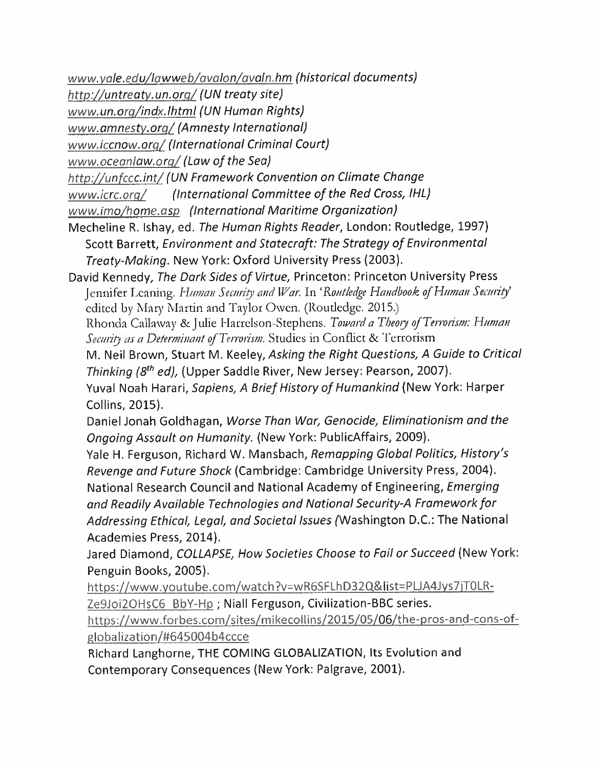*www.vale.edu /lawweb/avalon /avaln.hm (historical documents)*

*http://untreatv.un.ora/ (UN treaty site)*

*www.un.org/indx.lhtml (UN Human Rights)*

*www.amnestv.org / (Amnesty International)*

*www.iccnow.org / (International Criminal Court)*

*www.oceanlaw.org/ (Law of the Sea)*

*htip://unfccc.int/ (UN Framework Convention on Climate Change*

*www.icrc.org/ (International Committee of the Red Cross, IHL)*

*www.imo /home.asp (International Maritime Organization)*

Mecheline <sup>R</sup>. Ishay, ed. *The Human Rights Reader,* London: Routledge, <sup>1997</sup>) Scott Barrett,*Environment and Statecraft: The Strategy of Environmental Treaty-Making.* New York: Oxford University Press (2003).

David Kennedy,*The Dark Sides of Virtue,* Princeton: Princeton University Press Jennifer Leaning. *Human Security and War.* In '*Routledge Handbook of Human Security*' edited by Mary Martin and Taylor Owen, (Roudedgc. 2015.)

Rhonda Callaway &Julie Harrelson-Stephens. *Toward <sup>a</sup> Tbeoiy of Terrorism: Human Security as <sup>a</sup> Determinant of Terrorism.* Studies in Conflict & Terrorism

M. Neil Brown,Stuart <sup>M</sup>. Keeley,*Asking the Right Questions,A Guide to Critical Thinking (8th ed),* (Upper Saddle River, New Jersey: Pearson, <sup>2007</sup>).

Yuval Noah Harari,*Sapiens,<sup>A</sup> Brief History of Humankind { New* York: Harper Collins, 2015).

Daniel Jonah Goldhagan,*Worse Than War,Genocide,Eliminationism and the Ongoing Assault on Humanity.* (New York: PublicAffairs, 2009).

Yale H. Ferguson, Richard W. Mansbach, *Remapping Global Politics, History'<sup>s</sup> Revenge and Future Shock* (Cambridge: Cambridge University Press, <sup>2004</sup>). National Research Council and National Academy of Engineering,*Emerging and Readily Available Technologies and National Security-<sup>A</sup> Framework for Addressing Ethical, Legal, and Societal Issues* (Washington D.C.: The National Academies Press, 2014).

Jared Diamond, *COLLAPSE, How Societies Choose to Fail or Succeed* (New York: Penguin Books, 2005).

https://www.youtube.com/watch?v=wR6SFLhD32Q&list=PLJA4Jys7jT0LR-Ze9Joi2OHsC6 BbY-Hp ; Niall Ferguson, Civilization-BBC series.

https://www.forbes.com/sites/mikecollins/2015/05/06/the-pros-and-cons-ofglobalization / #645004 b 4ccce

Richard Langhorne,THE COMING GLOBALIZATION, Its Evolution and Contemporary Consequences (New York: Palgrave, <sup>2001</sup>).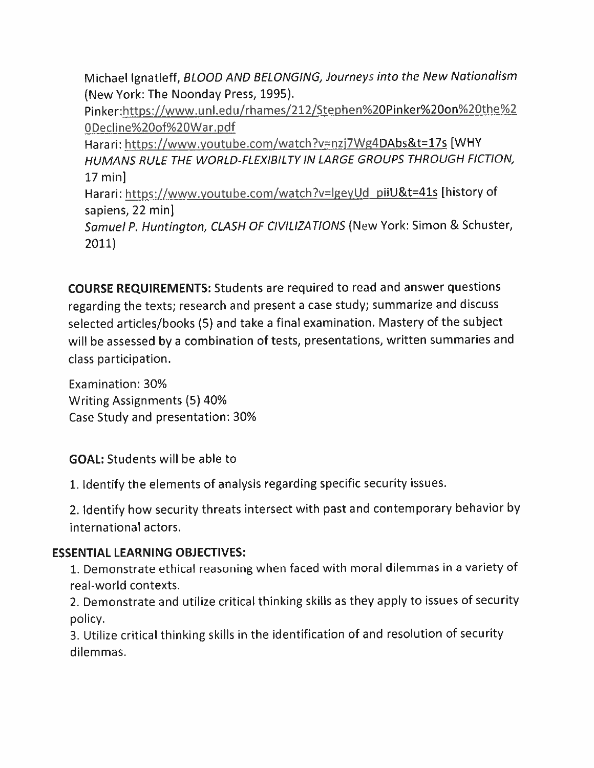Michael Ignatieff,*BLOOD AND BELONGING, Journeys into the New Nationalism* (New York: The Noonday Press, <sup>1995</sup>).

Pinker:https://www.unl.edu/rhames/212/Stephen%20Pinker%20on%20the%<sup>2</sup> 0Decline%20of%20War.pdf

Harari: https://www.youtube.com/watch?v=nzj7Wg4DAbs&t=17s [WHY *HUMANS RULE THE WORLD-FLEXIBILTY IN LARGE GROUPS THROUGH FICTION,* 17 min]

Harari: https://www.youtube.com/watch?v=lgeyUd\_piiU&t=41s [history of sapiens, <sup>22</sup> min]

*Samuel <sup>P</sup>. Huntington, CLASH OF CIVILIZATIONS* (New York: Simon & Schuster, **2011)**

**COURSE REQUIREMENTS:** Students are required to read and answer questions regarding the texts; research and present a case study; summarize and discuss selected articles/books (5) and take <sup>a</sup> final examination. Mastery of the subject will be assessed by a combination of tests, presentations, written summaries and class participation.

Examination: 30% Writing Assignments (5) 40% Case Study and presentation: 30%

**GOAL:** Students will be able to

<sup>1</sup>. Identify the elements of analysis regarding specific security issues.

<sup>2</sup>. Identify how security threats intersect with past and contemporary behavior by international actors.

#### **ESSENTIAL LEARNING OBJECTIVES:**

<sup>1</sup>. Demonstrate ethical reasoning when faced with moral dilemmas in <sup>a</sup> variety of real-world contexts.

<sup>2</sup>. Demonstrate and utilize critical thinking skills as they apply to issues of security policy.

<sup>3</sup>. Utilize critical thinking skills in the identification of and resolution of security dilemmas.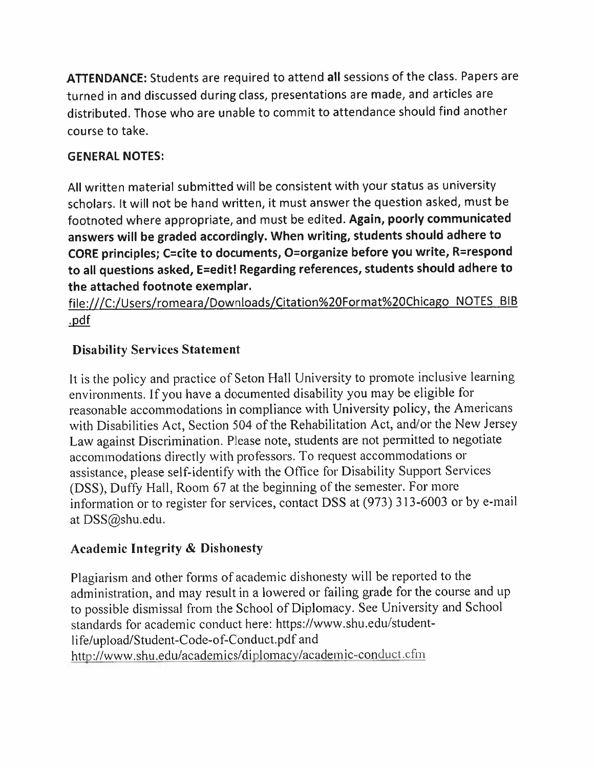**ATTENDANCE:** Students are required to attend **all** sessions of the class. Papers are turned in and discussed during class, presentations are made, and articles are distributed. Those who are unable to commit to attendance should find another course to take.

### **GENERAL NOTES:**

All written material submitted will be consistent with your status as university scholars. It will not be hand written, it must answer the question asked, must be footnoted where appropriate,and must be edited. **Again, poorly communicated answers will be graded accordingly. When writing, students should adhere to CORE principles; <sup>C</sup>=cite to documents, <sup>0</sup>=organize before you write,R=respond to all questions asked, <sup>E</sup>=edit! Regarding references, students should adhere to the attached footnote exemplar.**

file:///C:/Users/romeara/Downloads/Citation%20Format%20Chicago NOTES BIB .pdf

## **Disability Services Statement**

It is the policy and practice of Seton Hall University to promote inclusive learning environments. If you have <sup>a</sup> documented disability you may be eligible for reasonable accommodations in compliance with University policy, the Americans with Disabilities Act, Section 504 of the Rehabilitation Act, and/or the New Jersey Law against Discrimination. Please note, students are not permitted to negotiate accommodations directly with professors. To reques<sup>t</sup> accommodations or assistance, <sup>p</sup>lease self-identify with the Office for Disability Support Services (DSS), Duffy Hall, Room <sup>67</sup> at the beginning of the semester. For more information or to register for services, contact DSS at (973) <sup>313</sup>-6003 or by <sup>e</sup>-mail at DSS@shu.edu.

## **Academic Integrity** *&* **Dishonesty**

Plagiarism and other forms of academic dishonesty will be reported to the administration, and may result in <sup>a</sup> lowered or failing grade for the course and up to possible dismissal from the School of Diplomacy. See University and School standards for academic conduct here: https://www.shu.edu/studentlife/upload/Student-Code-of-Conduct.pdf and http://www.shu.edu/academics/diplomacv/academic-conduct.cfm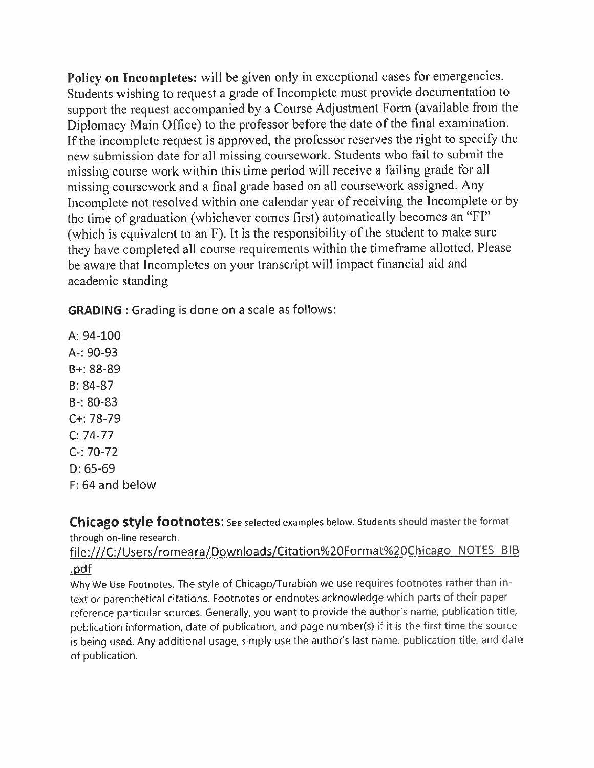**Policy on Incompletes:** will be <sup>g</sup>iven only in exceptional cases for emergencies. Students wishing to reques<sup>t</sup> <sup>a</sup> grade of Incomplete must provide documentation to suppor<sup>t</sup> the reques<sup>t</sup> accompanied by <sup>a</sup> Course Adjustment Form (available from the Diplomacy Main Office) to the professor before the date of the final examination. If the incomplete reques<sup>t</sup> is approved, the professor reserves the right to specify the new submission date for all missing coursework. Students who fail to submit the missing course work within this time period will receive <sup>a</sup> failing grade for all missing coursework and <sup>a</sup> final grade based on all coursework assigned. Any Incomplete not resolved within one calendar year of receiving the Incomplete or by the time of graduation (whichever comes first) automatically becomes an "FI" (which is equivalent to an <sup>F</sup>). It is the responsibility of the student to make sure they have completed all course requirements within the timeframe allotted. Please be aware that Incompletes on your transcript will impact financial aid and academic standing

**GRADING**: Grading is done on a scale as follows:

A: 94-100 A-: 90-93 B+: 88-89 B: 84-87 B-: 80-83 C+: 78-79 C: 74-77 C-: 70-72 D: 65-69 F: 64 and below

**Chicago Style footnotes:** See selected examples below. Students should master the format through on-line research.

#### file:///C:/Users/romeara/Downloads/Citation%20Format%20Chicago NOTES BIB .pdf

Why We Use Footnotes. The style of Chicago/Turabian we use requires footnotes rather than intext or parenthetical citations. Footnotes or endnotes acknowledge which parts of their paper reference particular sources. Generally, you want to provide the author's name, publication title, publication information, date of publication, and page number(s) if it is the first time the source is being used. Any additional usage, simply use the author'<sup>s</sup> last name, publication title, and date of publication.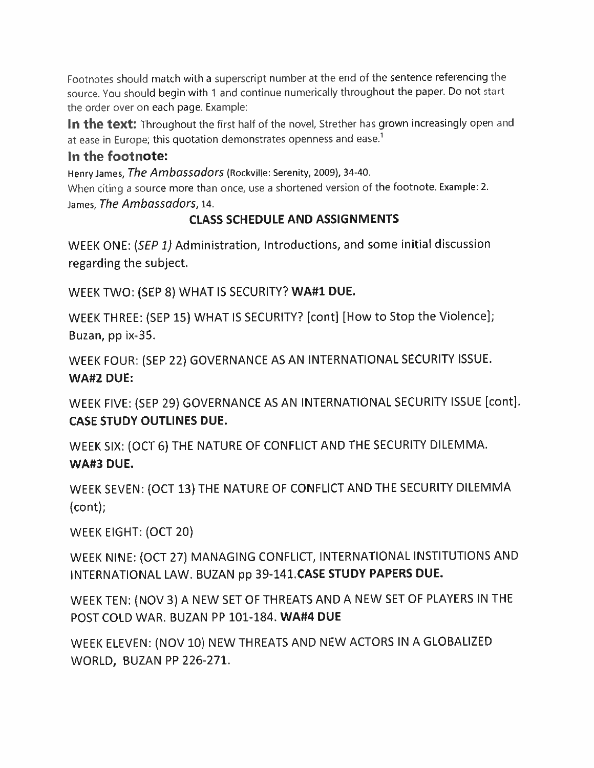**Footnotes should match with <sup>a</sup> superscript number at the end of the sentence referencing the source. You should begin with <sup>1</sup> and continue numerically throughout the paper. Do not start the order over on each page. Example:**

**In the text: Throughout the first half of the novel, Strether has grown increasingly open and at ease in Europe; this quotation demonstrates openness and ease.<sup>1</sup>**

#### **In the footnote:**

**Henry James,***The Ambassadors* **(Rockville: Serenity, <sup>2009</sup>), <sup>34</sup>-40.**

**When citing <sup>a</sup> source more than once, use <sup>a</sup> shortened version of the footnote. Example: 2. James,***The Ambassadors,* **<sup>14</sup>.**

### **CLASS SCHEDULE AND ASSIGNMENTS**

WEEK ONE: *(SEP1)* Administration, Introductions, and some initial discussion regarding the subject.

WEEK TWO: (SEP 8) WHAT IS SECURITY? **WA#1DUE.**

WEEK THREE: (SEP <sup>15</sup>) WHAT IS SECURITY? [cont] [How to Stop the Violence]; Buzan, pp ix-35.

WEEK FOUR: (SEP 22) GOVERNANCE AS AN INTERNATIONAL SECURITY ISSUE. **WA#2 DUE:**

WEEK FIVE: (SEP <sup>29</sup>) GOVERNANCE AS AN INTERNATIONAL SECURITY ISSUE [cont]. **CASE STUDY OUTLINES DUE.**

WEEK SIX: (OCT <sup>6</sup>) THE NATURE OF CONFLICT AND THE SECURITY DILEMMA. **WA#3 DUE.**

WEEK SEVEN: (OCT <sup>13</sup>) THE NATURE OF CONFLICT AND THE SECURITY DILEMMA (cont);

WEEK EIGHT: (OCT 20)

WEEK NINE: (OCT <sup>27</sup>) MANAGING CONFLICT, INTERNATIONAL INSTITUTIONS AND INTERNATIONAL LAW. BUZAN pp **39-141.CASE STUDY PAPERS DUE.**

WEEK TEN: (NOV <sup>3</sup>) <sup>A</sup> NEW SET OF THREATS AND A NEW SET OF PLAYERS IN THE POST COLD WAR. BUZAN PP 101-184. **WA#4 DUE**

WEEK ELEVEN: (NOV 10) NEW THREATS AND NEW ACTORS IN <sup>A</sup> GLOBALIZED WORLD, BUZAN PP 226-271.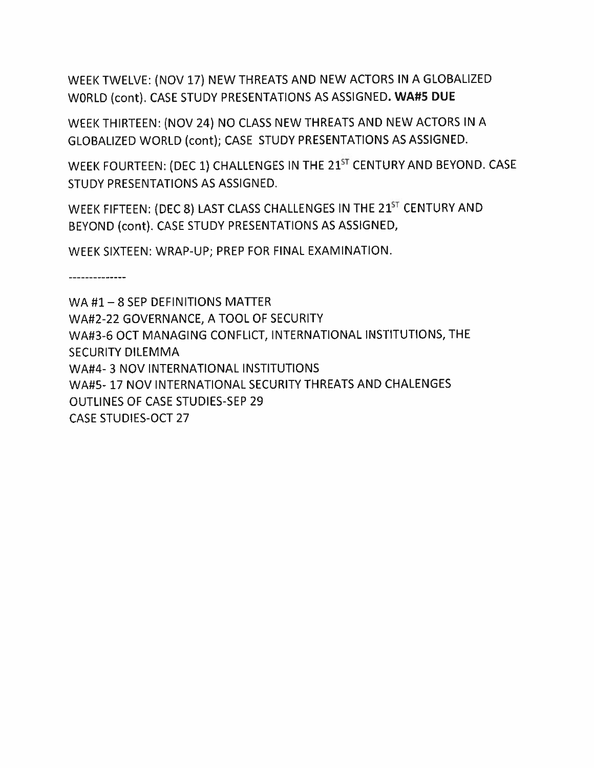WEEK TWELVE: (NOV 17) NEW THREATS AND NEW ACTORS IN <sup>A</sup> GLOBALIZED WORLD (cont). CASE STUDY PRESENTATIONS AS ASSIGNED. **WA#5 DUE**

WEEK THIRTEEN: (NOV 24) NO CLASS NEW THREATS AND NEW ACTORS IN A GLOBALIZED WORLD (cont); CASE STUDY PRESENTATIONS AS ASSIGNED.

WEEK FOURTEEN: (DEC 1) CHALLENGES IN THE 21<sup>ST</sup> CENTURY AND BEYOND. CASE STUDY PRESENTATIONS AS ASSIGNED.

WEEK FIFTEEN: (DEC 8) LAST CLASS CHALLENGES IN THE 21<sup>ST</sup> CENTURY AND BEYOND (cont). CASE STUDY PRESENTATIONS AS ASSIGNED,

WEEK SIXTEEN: WRAP-UP; PREP FOR FINAL EXAMINATION.

WA #1 - 8 SEP DEFINITIONS MATTER WA#2-22 GOVERNANCE, A TOOL OF SECURITY WA#3-6 OCT MANAGING CONFLICT, INTERNATIONAL INSTITUTIONS, THE SECURITY DILEMMA WA#4- 3 NOV INTERNATIONAL INSTITUTIONS WA#5- 17 NOV INTERNATIONAL SECURITY THREATS AND CHALENGES OUTLINES OF CASE STUDIES-SEP 29 CASE STUDIES-OCT 27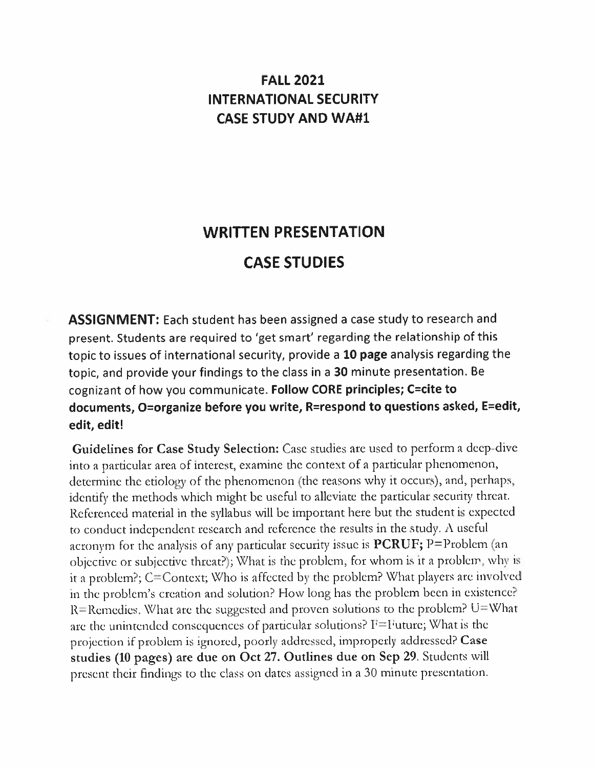## **FALL 2021 INTERNATIONAL SECURITY CASE STUDY AND WA#1**

## **WRITTEN PRESENTATION CASE STUDIES**

**ASSIGNMENT:** Each student has been assigned <sup>a</sup> case study to research and present. Students are required to 'get smart' regarding the relationship of this topic to issues of international security, provide <sup>a</sup> **<sup>10</sup> page** analysis regarding the topic, and provide your findings to the class in <sup>a</sup> <sup>30</sup> minute presentation. Be cognizant of how you communicate. **Follow CORE principles; C=cite to documents, <sup>0</sup>=organize before you write, R=respond to questions asked, E=edit, edit, edit!**

Guidelines for Case Study Selection: Case studies are used to perform a deep-dive into <sup>a</sup> particular area of interest, examine the context of <sup>a</sup> particular <sup>p</sup>henomenon, determine the etiology of the <sup>p</sup>henomenon (the reasons why it occurs), and, perhaps, identify the methods which might be useful to alleviate the particular security threat. Referenced material in the syllabus will be important here but the student is expected to conduct independent research and reference the results in the study. <sup>A</sup> useful acronym for the analysis of any particular security issue is PCRUF; <sup>P</sup>=Problcm (an objective or subjective threat?);What is the problem, for whom is it <sup>a</sup> problem, why is it <sup>a</sup> problem?; <sup>C</sup>=Context;Who is affected by the problem? What <sup>p</sup>layers are involved in the problem'<sup>s</sup> creation and solution? How long has the problem been in existence? R=Remedies. What are the suggested and proven solutions to the problem?  $U=W$  hat are the unintended consequences of particular solutions?  $F =$  Future; What is the projection if problem is ignored, poorly addressed, improperly addressed? Case studies (<sup>10</sup> pages) are due on Oct <sup>27</sup>. Outlines due on Sep <sup>29</sup>. Students will presen<sup>t</sup> their findings to the class on dates assigned in <sup>a</sup> <sup>30</sup> minute presentation.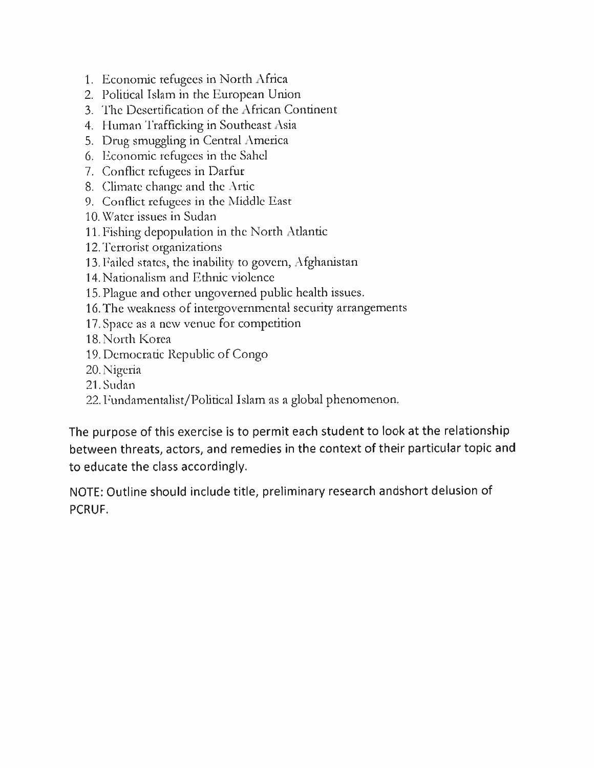- . Economic refugees in North Africa
- . Political Islam in the European Union
- . The Desertification of the African Continent
- . Human Trafficking in Southeast Asia
- . Drug smuggling in Central America
- . Economic refugees in the Sahel
- 7. Conflict refugees in Darfur
- . Climate change and the Artie
- . Conflict refugees in the Middle East
- . Water issues in Sudan
- .Fishing depopulation in the North Atlantic
- .Terrorist organizations
- . Failed states, the inability to govern, Afghanistan
- . Nationalism and Ethnic violence
- .Plague and other ungoverned public health issues.
- .The weakness of intergovernmental security arrangements
- .Space as <sup>a</sup> new venue for competition
- 18. North Korea
- . Democratic Republic of Congo
- . Nigeria
- .Sudan
- . Fundamentalist/Political Islam as <sup>a</sup> global phenomenon.

The purpose of this exercise is to permit each student to look at the relationship between threats, actors, and remedies in the context of their particular topic and to educate the class accordingly.

NOTE: Outline should include title, preliminary research andshort delusion of PCRUF.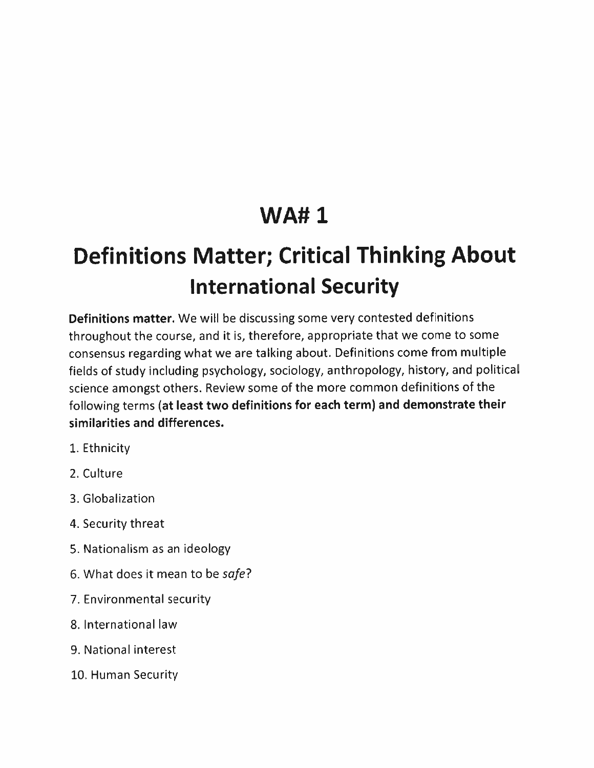## **WA# 1**

# **Definitions Matter;Critical Thinking About International Security**

**Definitions matter.** We will be discussing some very contested definitions throughout the course, and it is, therefore, appropriate that we come to some consensus regarding what we are talking about. Definitions come from multiple fields of study including psychology, sociology, anthropology, history, and political science amongst others. Review some of the more common definitions of the following terms **(at least two definitions for each term) and demonstrate their similarities and differences.**

- 1. Ethnicity
- 2. Culture
- 3. Globalization
- <sup>4</sup>. Security threat
- 5. Nationalism as an ideology
- 6. What does it mean to be *safe*?
- 7. Environmental security
- 8. International law
- 9. National interest
- 10. Human Security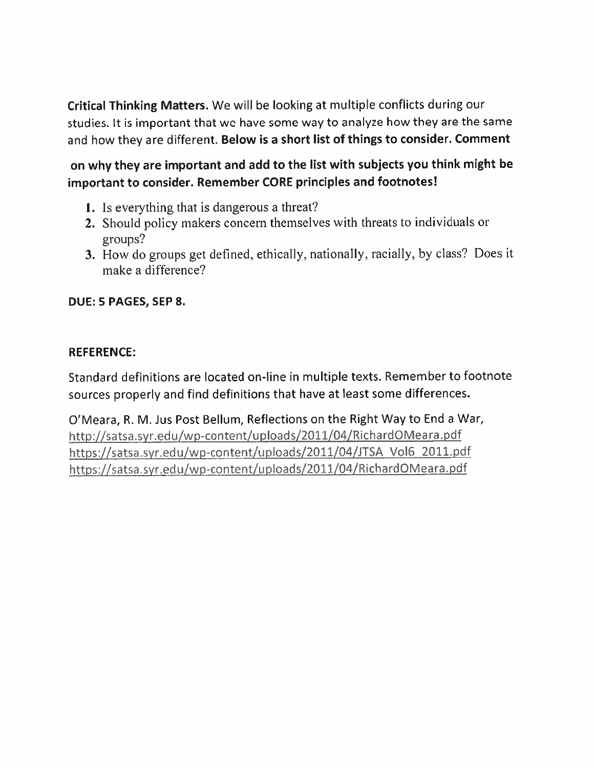**Critical Thinking Matters.** We will be looking at multiple conflicts during our studies. It is important that we have some way to analyze how they are the same and how they are different. **Below is <sup>a</sup> short list of things to consider. Comment**

**on why they are important and add to the list with subjects you think might be important to consider. Remember CORE principles and footnotes!**

- **1. Is everything that is dangerous <sup>a</sup> threat?**
- **<sup>2</sup>. Should policy makers concern themselves with threats to individuals or groups?**
- **3. How do groups get defined, ethically, nationally,racially, by class? Does it make <sup>a</sup> difference?**

#### **DUE: 5 PAGES, SEP 8.**

#### **REFERENCE:**

Standard definitions are located on-line in multiple texts. Remember to footnote sources properly and find definitions that have at least some differences.

O'Meara, R. M. Jus Post Bellum, Reflections on the Right Way to End a War, http://satsa.svr.edu/wp-content/uploads/2011/04/RichardQMeara.pdf https://satsa.syr.edu/wp-content/uploads/2011/04/JTSA Vol6 2011.pdf https://satsa.syr.edu/wp-content/uploads/2011/Q4/RichardOMeara.pdf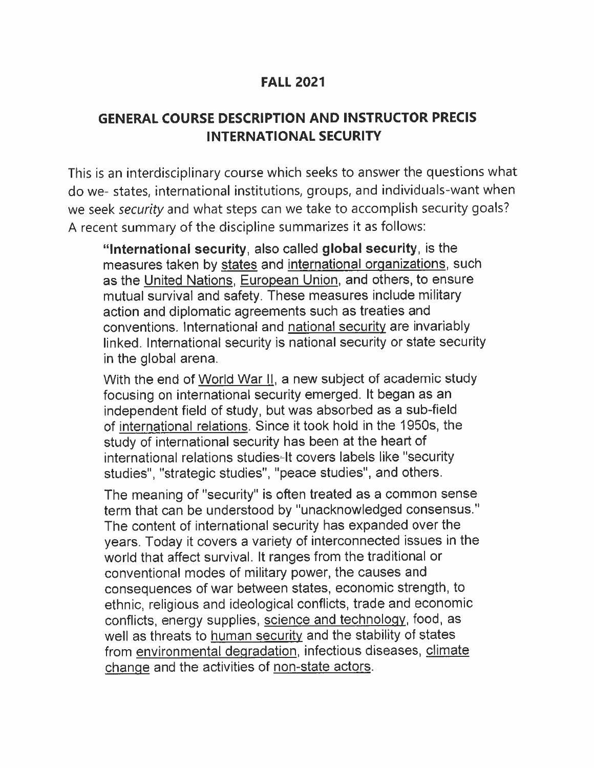### **FALL 2021**

## **GENERAL COURSE DESCRIPTION AND INSTRUCTOR PRECIS INTERNATIONAL SECURITY**

This is an interdisciplinary course which seeks to answer the questions what do we- states, international institutions, groups, and individuals-want when we seek *security* and what steps can we take to accomplish security goals ? <sup>A</sup> recent summary of the discipline summarizes it as follows:

**"International security,** also called **global security,** is the measures taken by states and international organizations, such as the United Nations, European Union, and others, to ensure mutual survival and safety. These measures include military action and diplomatic agreements such as treaties and conventions. International and national security are invariably linked. International security is national security or state security in the global arena.

With the end of World War II. <sup>a</sup> new subject of academic study focusing on international security emerged. It began as an independent field of study, but was absorbed as a sub-field of international relations. Since it took hold in the 1950 <sup>s</sup>, the study of international security has been at the heart of international relations studies -lt covers labels like "security studies", "strategic studies", "peace studies", and others.

The meaning of "security" is often treated as a common sense term that can be understood by "unacknowledged consensus." The content of international security has expanded over the years. Today it covers <sup>a</sup> variety of interconnected issues in the world that affect survival. It ranges from the traditional or conventional modes of military power, the causes and consequences of war between states, economic strength, to ethnic, religious and ideological conflicts, trade and economic conflicts, energy supplies, science and technology, food, as well as threats to human security and the stability of states from environmental degradation, infectious diseases, climate change and the activities of non-state actors.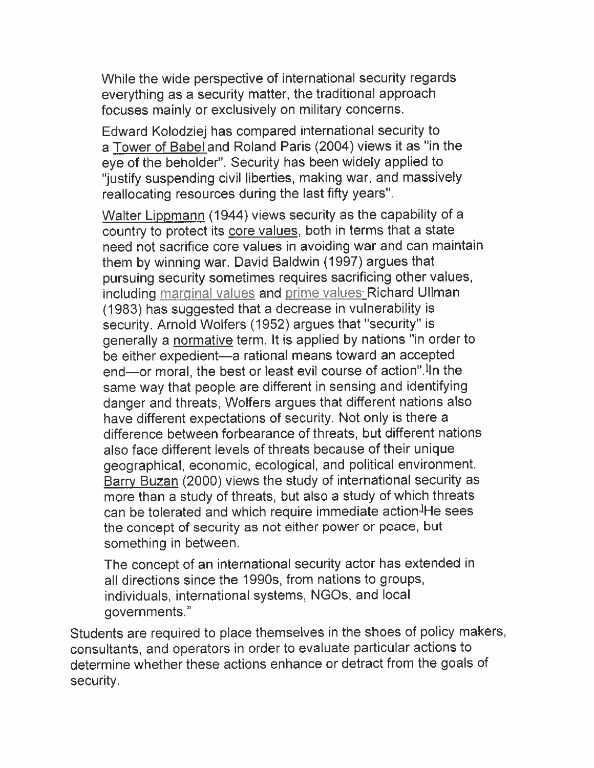While the wide perspective of international security regards everything as <sup>a</sup> security matter, the traditional approach focuses mainly or exclusively on military concerns.

Edward Kolodziej has compared international security to <sup>a</sup> Tower of Babel and Roland Paris (2004) views it as "in the eye of the beholder". Security has been widely applied to "justify suspending civil liberties, making war, and massively reallocating resources during the last fifty years".

<u>Walter Lippmann</u> (1944) views security as the capability of a country to protect its <u>core values,</u> both in terms that a state need not sacrifice core values in avoiding war and can maintain them by winning war. David Baldwin (1997) argues that pursuing security sometimes requires sacrificing other values, including marginal values and prime values\_Richard Ullman (1983) has suggested that <sup>a</sup> decrease in vulnerability is security. Arnold Wolfers (1952) argues that "security" is generally a <u>normative</u> term. It is applied by nations "in order to be either expedient — <sup>a</sup> rational means toward an accepted end—or moral, the best or least evil course of action".<sup>I</sup>In the same way that people are different in sensing and identifying danger and threats, Wolfers argues that different nations also have different expectations of security. Not only is there a difference between forbearance of threats, but different nations also face different levels of threats because of their unique geographical, economic, ecological, and political environment. Barry Buzan (2000) views the study of international security as more than <sup>a</sup> study of threats, but also <sup>a</sup> study of which threats can be tolerated and which require immediate action-He sees the concept of security as not either power or peace, but something in between.

The concept of an international security actor has extended in all directions since the 1990 <sup>s</sup>, from nations to groups, individuals, international systems, NGOs, and local governments."

Students are required to place themselves in the shoes of policy makers, consultants, and operators in order to evaluate particular actions to determine whether these actions enhance or detract from the goals of security.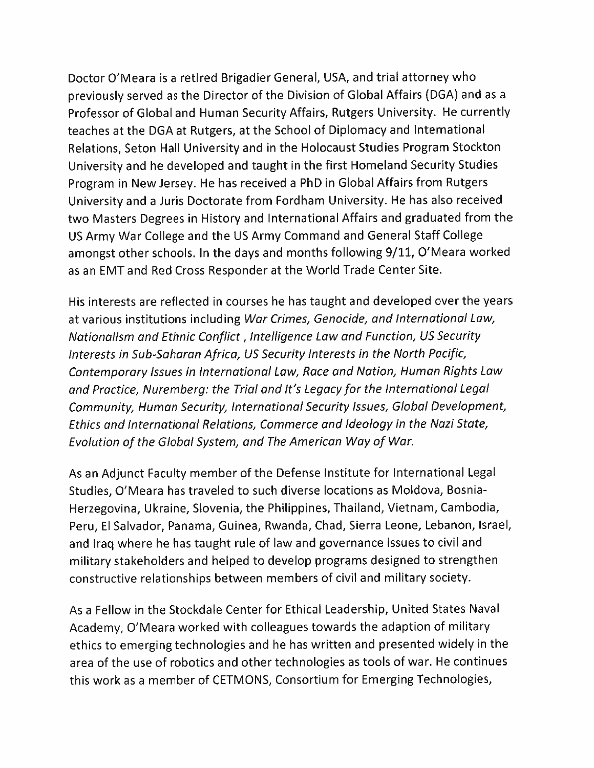Doctor O'Meara is <sup>a</sup> retired Brigadier General, USA, and trial attorney who previously served as the Director of the Division of Global Affairs (DGA) and as <sup>a</sup> Professor of Global and Human Security Affairs, Rutgers University. He currently teaches at the DGA at Rutgers, at the School of Diplomacy and International Relations, Seton Hall University and in the Holocaust Studies Program Stockton University and he developed and taught in the first Homeland Security Studies Program in New Jersey. He has received <sup>a</sup> PhD in Global Affairs from Rutgers University and <sup>a</sup> Juris Doctorate from Fordham University. He has also received two Masters Degrees in History and International Affairs and graduated from the US Army War College and the US Army Command and General Staff College amongst other schools. In the days and months following 9/11, <sup>O</sup>'Meara worked as an EMT and Red Cross Responder at the World Trade Center Site.

His interests are reflected in courses he has taught and developed over the years at various institutions including *War Crimes,Genocide, and International Law, Nationalism and Ethnic Conflict* , *Intelligence Law and Function, US Security Interests in Sub-Saharan Africa, US Security Interests in the North Pacific, Contemporary Issues in International Law, Race and Nation, Human Rights Law and Practice, Nuremberg: the Trial and It's Legacy for the International Legal Community, Human Security, International Security Issues, Global Development, Ethics and International Relations, Commerce and Ideology in the Nazi State, Evolution of the Global System, and The American Way of War.*

As an Adjunct Faculty member of the Defense Institute for International Legal Studies, O'Meara has traveled to such diverse locations as Moldova, Bosnia-Herzegovina, Ukraine, Slovenia, the Philippines, Thailand, Vietnam, Cambodia, Peru, El Salvador, Panama, Guinea, Rwanda, Chad, Sierra Leone, Lebanon, Israel, and Iraq where he has taught rule of law and governance issues to civil and military stakeholders and helped to develop programs designed to strengthen constructive relationships between members of civil and military society.

As a Fellow in the Stockdale Center for Ethical Leadership, United States Naval Academy, O'Meara worked with colleagues towards the adaption of military ethics to emerging technologies and he has written and presented widely in the area of the use of robotics and other technologies as tools of war. He continues this work as <sup>a</sup> member of CETMONS, Consortium for Emerging Technologies,